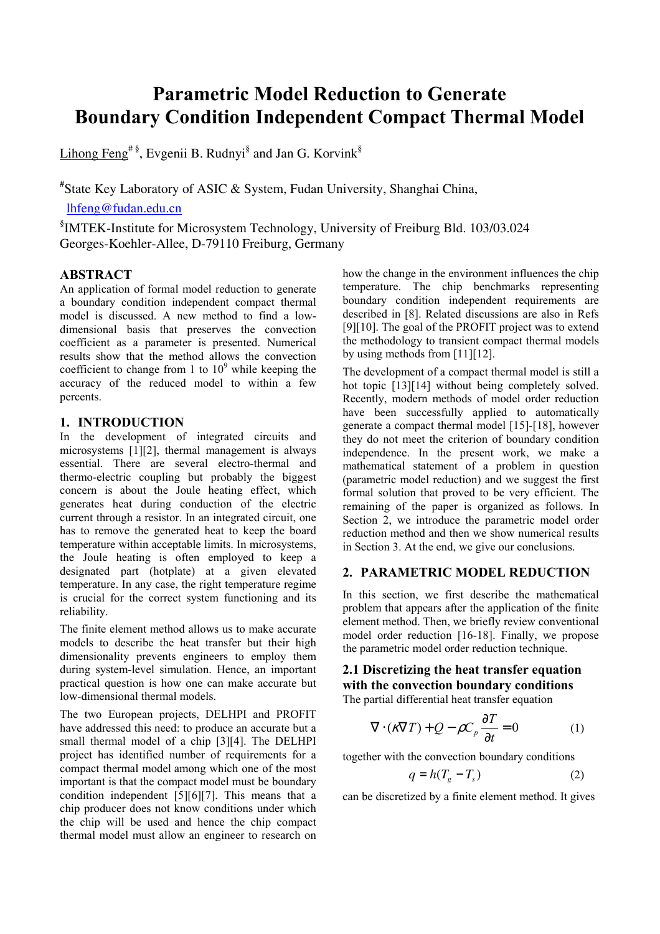# Parametric Model Reduction to Generate Boundary Condition Independent Compact Thermal Model

Lihong Feng<sup>#§</sup>, Evgenii B. Rudnyi<sup>§</sup> and Jan G. Korvink<sup>§</sup>

# State Key Laboratory of ASIC & System, Fudan University, Shanghai China,

lhfeng@fudan.edu.cn

§ IMTEK-Institute for Microsystem Technology, University of Freiburg Bld. 103/03.024 Georges-Koehler-Allee, D-79110 Freiburg, Germany

# ABSTRACT

An application of formal model reduction to generate a boundary condition independent compact thermal model is discussed. A new method to find a lowdimensional basis that preserves the convection coefficient as a parameter is presented. Numerical results show that the method allows the convection coefficient to change from 1 to  $10^9$  while keeping the accuracy of the reduced model to within a few percents.

# 1. INTRODUCTION

In the development of integrated circuits and microsystems [1][2], thermal management is always essential. There are several electro-thermal and thermo-electric coupling but probably the biggest concern is about the Joule heating effect, which generates heat during conduction of the electric current through a resistor. In an integrated circuit, one has to remove the generated heat to keep the board temperature within acceptable limits. In microsystems, the Joule heating is often employed to keep a designated part (hotplate) at a given elevated temperature. In any case, the right temperature regime is crucial for the correct system functioning and its reliability.

The finite element method allows us to make accurate models to describe the heat transfer but their high dimensionality prevents engineers to employ them during system-level simulation. Hence, an important practical question is how one can make accurate but low-dimensional thermal models.

The two European projects, DELHPI and PROFIT have addressed this need: to produce an accurate but a small thermal model of a chip [3][4]. The DELHPI project has identified number of requirements for a compact thermal model among which one of the most important is that the compact model must be boundary condition independent [5][6][7]. This means that a chip producer does not know conditions under which the chip will be used and hence the chip compact thermal model must allow an engineer to research on

how the change in the environment influences the chip temperature. The chip benchmarks representing boundary condition independent requirements are described in [8]. Related discussions are also in Refs [9][10]. The goal of the PROFIT project was to extend the methodology to transient compact thermal models by using methods from [11][12].

The development of a compact thermal model is still a hot topic [13][14] without being completely solved. Recently, modern methods of model order reduction have been successfully applied to automatically generate a compact thermal model [15]-[18], however they do not meet the criterion of boundary condition independence. In the present work, we make a mathematical statement of a problem in question (parametric model reduction) and we suggest the first formal solution that proved to be very efficient. The remaining of the paper is organized as follows. In Section 2, we introduce the parametric model order reduction method and then we show numerical results in Section 3. At the end, we give our conclusions.

# 2. PARAMETRIC MODEL REDUCTION

In this section, we first describe the mathematical problem that appears after the application of the finite element method. Then, we briefly review conventional model order reduction [16-18]. Finally, we propose the parametric model order reduction technique.

# 2.1 Discretizing the heat transfer equation with the convection boundary conditions

The partial differential heat transfer equation

$$
\nabla \cdot (\mathbf{r} \nabla T) + Q - \rho C_p \frac{\partial T}{\partial t} = 0 \tag{1}
$$

together with the convection boundary conditions

$$
q = h(T_g - T_s) \tag{2}
$$

can be discretized by a finite element method. It gives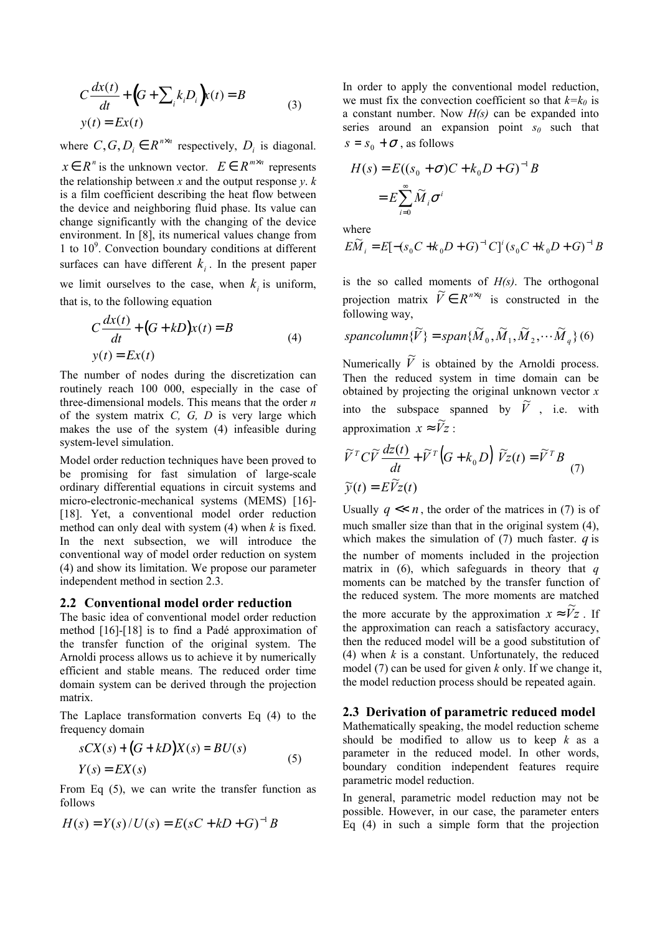$$
C\frac{dx(t)}{dt} + (G + \sum_{i} k_{i}D_{i})x(t) = B
$$
  
y(t) = Ex(t) (3)

where  $C, G, D_i \in R^{n \times n}$  respectively,  $D_i$  is diagonal.

 $x \in R^n$  is the unknown vector.  $E \in R^{m \times n}$  represents the relationship between x and the output response y.  $k$ is a film coefficient describing the heat flow between the device and neighboring fluid phase. Its value can change significantly with the changing of the device environment. In [8], its numerical values change from 1 to 10<sup>9</sup> . Convection boundary conditions at different surfaces can have different  $k_i$ . In the present paper we limit ourselves to the case, when  $k_i$  is uniform, that is, to the following equation

$$
C\frac{dx(t)}{dt} + (G + kD)x(t) = B
$$
  
y(t) = Ex(t) (4)

The number of nodes during the discretization can routinely reach 100 000, especially in the case of three-dimensional models. This means that the order  $n$ of the system matrix  $C$ ,  $G$ ,  $D$  is very large which makes the use of the system (4) infeasible during system-level simulation.

Model order reduction techniques have been proved to be promising for fast simulation of large-scale ordinary differential equations in circuit systems and micro-electronic-mechanical systems (MEMS) [16]- [18]. Yet, a conventional model order reduction method can only deal with system  $(4)$  when k is fixed. In the next subsection, we will introduce the conventional way of model order reduction on system (4) and show its limitation. We propose our parameter independent method in section 2.3.

#### 2.2 Conventional model order reduction

The basic idea of conventional model order reduction method [16]-[18] is to find a Padé approximation of the transfer function of the original system. The Arnoldi process allows us to achieve it by numerically efficient and stable means. The reduced order time domain system can be derived through the projection matrix.

The Laplace transformation converts Eq (4) to the frequency domain

$$
sCX(s) + (G + kD)X(s) = BU(s)
$$
  
\n
$$
Y(s) = EX(s)
$$
\n(5)

From Eq (5), we can write the transfer function as follows

$$
H(s) = Y(s) / U(s) = E(sC + kD + G)^{-1}B
$$

In order to apply the conventional model reduction, we must fix the convection coefficient so that  $k=k_0$  is a constant number. Now  $H(s)$  can be expanded into series around an expansion point  $s_0$  such that  $s = s_0 + \sigma$ , as follows

$$
H(s) = E((s_0 + \sigma)C + k_0 D + G)^{-1}B
$$

$$
= E \sum_{i=0}^{\infty} \widetilde{M}_i \sigma^i
$$

where

$$
E\widetilde{M}_i = E[-(s_0C + k_0D + G)^{-1}C]^i(s_0C + k_0D + G)^{-1}B
$$

is the so called moments of  $H(s)$ . The orthogonal projection matrix  $\widetilde{V} \in R^{n \times q}$  is constructed in the following way,

spancolumn
$$
\{\widetilde{V}\}
$$
 = span $\{\widetilde{M}_0, \widetilde{M}_1, \widetilde{M}_2, \cdots, \widetilde{M}_q\}$  (6)

Numerically  $\widetilde{V}$  is obtained by the Arnoldi process. Then the reduced system in time domain can be obtained by projecting the original unknown vector  $x$ into the subspace spanned by  $\tilde{V}$ , i.e. with approximation  $x \approx \widetilde{V}z$ :

$$
\widetilde{V}^T C \widetilde{V} \frac{dz(t)}{dt} + \widetilde{V}^T (G + k_0 D) \widetilde{V} z(t) = \widetilde{V}^T B
$$
  

$$
\widetilde{y}(t) = E \widetilde{V} z(t)
$$
 (7)

Usually  $q \ll n$ , the order of the matrices in (7) is of much smaller size than that in the original system  $(4)$ , which makes the simulation of  $(7)$  much faster. q is the number of moments included in the projection matrix in  $(6)$ , which safeguards in theory that q moments can be matched by the transfer function of the reduced system. The more moments are matched the more accurate by the approximation  $x \approx \tilde{V}z$ . If the approximation can reach a satisfactory accuracy, then the reduced model will be a good substitution of (4) when  $k$  is a constant. Unfortunately, the reduced model (7) can be used for given k only. If we change it, the model reduction process should be repeated again.

#### 2.3 Derivation of parametric reduced model

Mathematically speaking, the model reduction scheme should be modified to allow us to keep  $k$  as a parameter in the reduced model. In other words, boundary condition independent features require parametric model reduction.

In general, parametric model reduction may not be possible. However, in our case, the parameter enters Eq (4) in such a simple form that the projection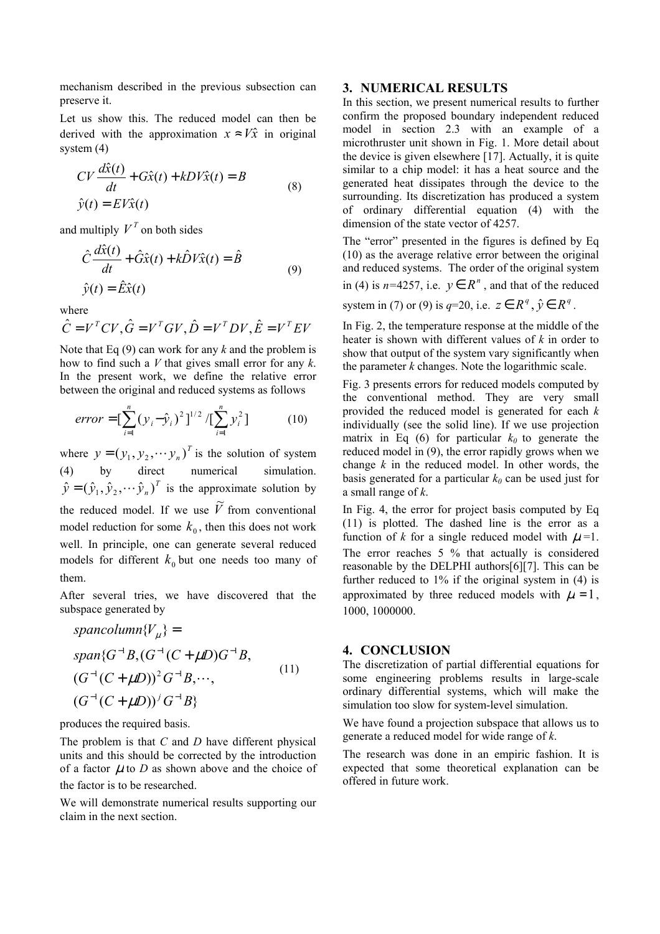mechanism described in the previous subsection can preserve it.

Let us show this. The reduced model can then be derived with the approximation  $x \approx V\hat{x}$  in original system (4)

$$
CV \frac{d\hat{x}(t)}{dt} + G\hat{x}(t) + kDV\hat{x}(t) = B
$$
  

$$
\hat{y}(t) = EV\hat{x}(t)
$$
 (8)

and multiply  $V<sup>T</sup>$  on both sides

$$
\hat{C}\frac{d\hat{x}(t)}{dt} + \hat{G}\hat{x}(t) + k\hat{D}V\hat{x}(t) = \hat{B}
$$
  

$$
\hat{y}(t) = \hat{E}\hat{x}(t)
$$
 (9)

where

$$
\hat{C} = V^T C V, \hat{G} = V^T G V, \hat{D} = V^T D V, \hat{E} = V^T E V
$$

Note that Eq  $(9)$  can work for any k and the problem is how to find such a  $V$  that gives small error for any  $k$ . In the present work, we define the relative error between the original and reduced systems as follows

$$
error = \left[\sum_{i=1}^{n} (y_i - \hat{y}_i)^2\right]^{1/2} / \left[\sum_{i=1}^{n} y_i^2\right] \tag{10}
$$

where  $y = (y_1, y_2, \dots, y_n)^T$  is the solution of system (4) by direct numerical simulation. T  $\hat{y} = (\hat{y}_1, \hat{y}_2, \dots, \hat{y}_n)^T$  is the approximate solution by the reduced model. If we use  $\widetilde{V}$  from conventional model reduction for some  $k_0$ , then this does not work well. In principle, one can generate several reduced models for different  $k_0$  but one needs too many of them.

After several tries, we have discovered that the subspace generated by

spancolumn{
$$
V_{\mu}
$$
} =  
\nspan{ $G^{-1}B$ ,  $(G^{-1}(C + \mu D)G^{-1}B$ ,  
\n $(G^{-1}(C + \mu D))^2 G^{-1}B$ ,...,  
\n $(G^{-1}(C + \mu D))^j G^{-1}B$ } (11)

produces the required basis.

The problem is that  $C$  and  $D$  have different physical units and this should be corrected by the introduction of a factor  $\mu$  to D as shown above and the choice of the factor is to be researched.

We will demonstrate numerical results supporting our claim in the next section.

#### 3. NUMERICAL RESULTS

In this section, we present numerical results to further confirm the proposed boundary independent reduced model in section 2.3 with an example of a microthruster unit shown in Fig. 1. More detail about the device is given elsewhere [17]. Actually, it is quite similar to a chip model: it has a heat source and the generated heat dissipates through the device to the surrounding. Its discretization has produced a system of ordinary differential equation (4) with the dimension of the state vector of 4257.

The "error" presented in the figures is defined by Eq (10) as the average relative error between the original and reduced systems. The order of the original system in (4) is  $n=4257$ , i.e.  $y \in R^n$ , and that of the reduced system in (7) or (9) is  $q=20$ , i.e.  $z \in R^q$ ,  $\hat{y} \in R^q$ .

In Fig. 2, the temperature response at the middle of the heater is shown with different values of  $k$  in order to show that output of the system vary significantly when the parameter  $k$  changes. Note the logarithmic scale.

Fig. 3 presents errors for reduced models computed by the conventional method. They are very small provided the reduced model is generated for each  $k$ individually (see the solid line). If we use projection matrix in Eq (6) for particular  $k_0$  to generate the reduced model in (9), the error rapidly grows when we change  $k$  in the reduced model. In other words, the basis generated for a particular  $k_0$  can be used just for a small range of  $k$ .

In Fig. 4, the error for project basis computed by Eq (11) is plotted. The dashed line is the error as a function of k for a single reduced model with  $\mu$ =1. The error reaches 5 % that actually is considered reasonable by the DELPHI authors[6][7]. This can be further reduced to 1% if the original system in (4) is approximated by three reduced models with  $\mu = 1$ , 1000, 1000000.

### 4. CONCLUSION

The discretization of partial differential equations for some engineering problems results in large-scale ordinary differential systems, which will make the simulation too slow for system-level simulation.

We have found a projection subspace that allows us to generate a reduced model for wide range of k.

The research was done in an empiric fashion. It is expected that some theoretical explanation can be offered in future work.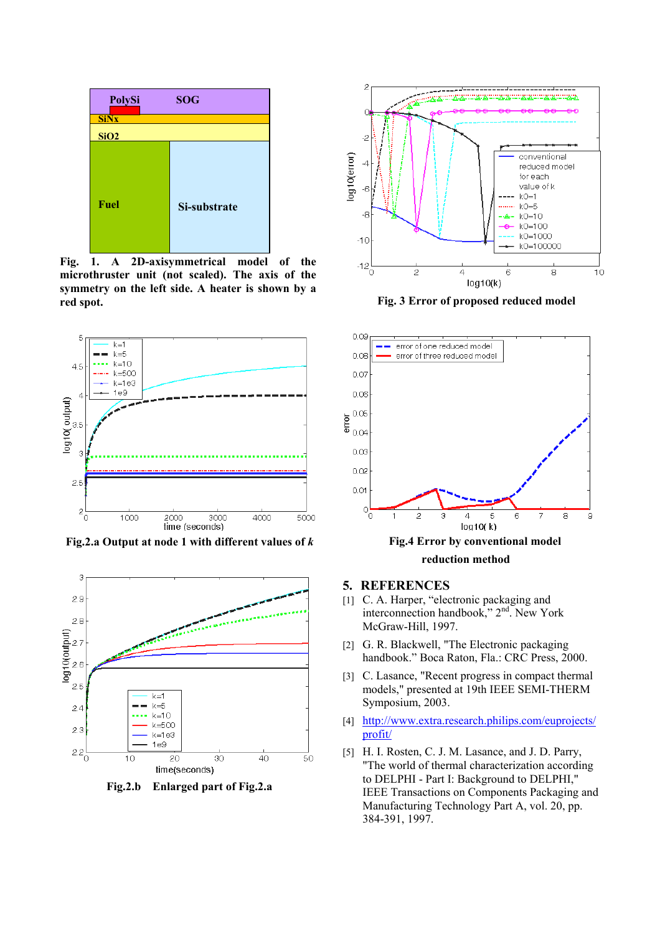

Fig. 1. A 2D-axisymmetrical model of the microthruster unit (not scaled). The axis of the symmetry on the left side. A heater is shown by a red spot.



Fig.2.a Output at node 1 with different values of  $k$ 



Fig.2.b Enlarged part of Fig.2.a



Fig. 3 Error of proposed reduced model



- 5. REFERENCES
- [1] C. A. Harper, "electronic packaging and interconnection handbook," 2nd. New York McGraw-Hill, 1997.
- [2] G. R. Blackwell, "The Electronic packaging handbook." Boca Raton, Fla.: CRC Press, 2000.
- [3] C. Lasance, "Recent progress in compact thermal models," presented at 19th IEEE SEMI-THERM Symposium, 2003.
- [4] http://www.extra.research.philips.com/euprojects/ profit/
- [5] H. I. Rosten, C. J. M. Lasance, and J. D. Parry, "The world of thermal characterization according to DELPHI - Part I: Background to DELPHI," IEEE Transactions on Components Packaging and Manufacturing Technology Part A, vol. 20, pp. 384-391, 1997.